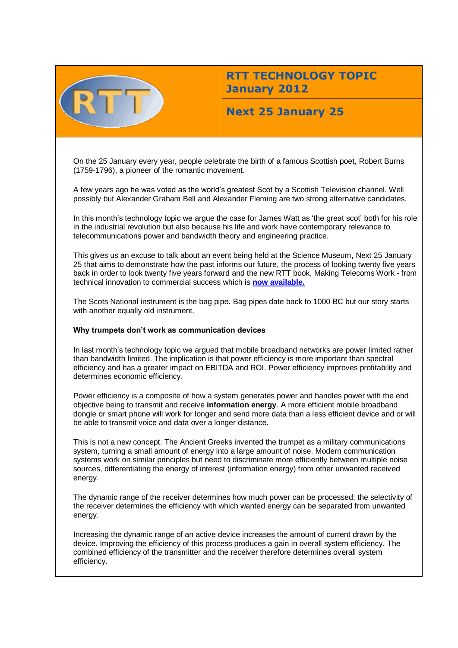

# **RTT TECHNOLOGY TOPIC January 2012**

## **Next 25 January 25**

On the 25 January every year, people celebrate the birth of a famous Scottish poet, Robert Burns (1759-1796), a pioneer of the romantic movement.

A few years ago he was voted as the world's greatest Scot by a Scottish Television channel. Well possibly but Alexander Graham Bell and Alexander Fleming are two strong alternative candidates.

In this month's technology topic we argue the case for James Watt as 'the great scot' both for his role in the industrial revolution but also because his life and work have contemporary relevance to telecommunications power and bandwidth theory and engineering practice.

This gives us an excuse to talk about an event being held at the Science Museum, Next 25 January 25 that aims to demonstrate how the past informs our future, the process of looking twenty five years back in order to look twenty five years forward and the new RTT book, Making Telecoms Work - from technical innovation to commercial success which is **[now available.](http://www.amazon.co.uk/Making-Telecoms-Work-Innovation-Commercial/dp/1119976413/ref=sr_1_1?s=books&ie=UTF8&qid=1324029429&sr=1-1)**

The Scots National instrument is the bag pipe. Bag pipes date back to 1000 BC but our story starts with another equally old instrument.

## **Why trumpets don't work as communication devices**

In last month's technology topic we argued that mobile broadband networks are power limited rather than bandwidth limited. The implication is that power efficiency is more important than spectral efficiency and has a greater impact on EBITDA and ROI. Power efficiency improves profitability and determines economic efficiency.

Power efficiency is a composite of how a system generates power and handles power with the end objective being to transmit and receive **information energy**. A more efficient mobile broadband dongle or smart phone will work for longer and send more data than a less efficient device and or will be able to transmit voice and data over a longer distance.

This is not a new concept. The Ancient Greeks invented the trumpet as a military communications system, turning a small amount of energy into a large amount of noise. Modern communication systems work on similar principles but need to discriminate more efficiently between multiple noise sources, differentiating the energy of interest (information energy) from other unwanted received energy.

The dynamic range of the receiver determines how much power can be processed; the selectivity of the receiver determines the efficiency with which wanted energy can be separated from unwanted energy.

Increasing the dynamic range of an active device increases the amount of current drawn by the device. Improving the efficiency of this process produces a gain in overall system efficiency. The combined efficiency of the transmitter and the receiver therefore determines overall system efficiency.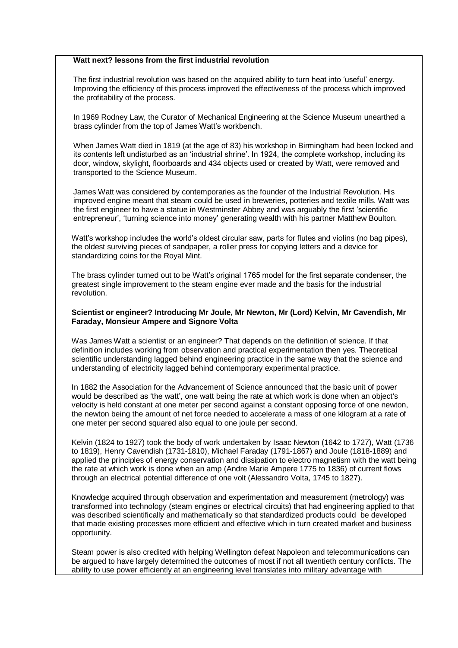#### **Watt next? lessons from the first industrial revolution**

The first industrial revolution was based on the acquired ability to turn heat into 'useful' energy. Improving the efficiency of this process improved the effectiveness of the process which improved the profitability of the process.

In 1969 Rodney Law, the Curator of Mechanical Engineering at the Science Museum unearthed a brass cylinder from the top of James Watt's workbench.

When James Watt died in 1819 (at the age of 83) his workshop in Birmingham had been locked and its contents left undisturbed as an 'industrial shrine'. In 1924, the complete workshop, including its door, window, skylight, floorboards and 434 objects used or created by Watt, were removed and transported to the Science Museum.

James Watt was considered by contemporaries as the founder of the Industrial Revolution. His improved engine meant that steam could be used in breweries, potteries and textile mills. Watt was the first engineer to have a statue in Westminster Abbey and was arguably the first 'scientific entrepreneur', 'turning science into money' generating wealth with his partner Matthew Boulton.

Watt's workshop includes the world's oldest circular saw, parts for flutes and violins (no bag pipes), the oldest surviving pieces of sandpaper, a roller press for copying letters and a device for standardizing coins for the Royal Mint.

The brass cylinder turned out to be Watt's original 1765 model for the first separate condenser, the greatest single improvement to the steam engine ever made and the basis for the industrial revolution.

#### **Scientist or engineer? Introducing Mr Joule, Mr Newton, Mr (Lord) Kelvin, Mr Cavendish, Mr Faraday, Monsieur Ampere and Signore Volta**

Was James Watt a scientist or an engineer? That depends on the definition of science. If that definition includes working from observation and practical experimentation then yes. Theoretical scientific understanding lagged behind engineering practice in the same way that the science and understanding of electricity lagged behind contemporary experimental practice.

In 1882 the Association for the Advancement of Science announced that the basic unit of power would be described as 'the watt', one watt being the rate at which work is done when an object's velocity is held constant at one meter per second against a constant opposing force of one newton, the newton being the amount of net force needed to accelerate a mass of one kilogram at a rate of one meter per second squared also equal to one joule per second.

Kelvin (1824 to 1927) took the body of work undertaken by Isaac Newton (1642 to 1727), Watt (1736 to 1819), Henry Cavendish (1731-1810), Michael Faraday (1791-1867) and Joule (1818-1889) and applied the principles of energy conservation and dissipation to electro magnetism with the watt being the rate at which work is done when an amp (Andre Marie Ampere 1775 to 1836) of current flows through an electrical potential difference of one volt (Alessandro Volta, 1745 to 1827).

Knowledge acquired through observation and experimentation and measurement (metrology) was transformed into technology (steam engines or electrical circuits) that had engineering applied to that was described scientifically and mathematically so that standardized products could be developed that made existing processes more efficient and effective which in turn created market and business opportunity.

Steam power is also credited with helping Wellington defeat Napoleon and telecommunications can be argued to have largely determined the outcomes of most if not all twentieth century conflicts. The ability to use power efficiently at an engineering level translates into military advantage with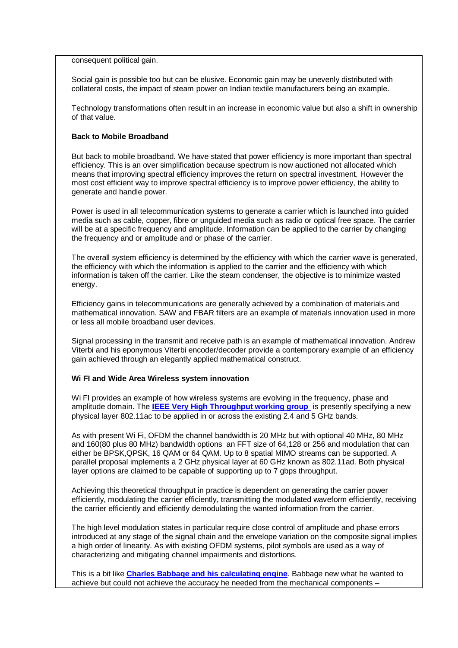consequent political gain.

Social gain is possible too but can be elusive. Economic gain may be unevenly distributed with collateral costs, the impact of steam power on Indian textile manufacturers being an example.

Technology transformations often result in an increase in economic value but also a shift in ownership of that value.

#### **Back to Mobile Broadband**

But back to mobile broadband. We have stated that power efficiency is more important than spectral efficiency. This is an over simplification because spectrum is now auctioned not allocated which means that improving spectral efficiency improves the return on spectral investment. However the most cost efficient way to improve spectral efficiency is to improve power efficiency, the ability to generate and handle power.

Power is used in all telecommunication systems to generate a carrier which is launched into guided media such as cable, copper, fibre or unguided media such as radio or optical free space. The carrier will be at a specific frequency and amplitude. Information can be applied to the carrier by changing the frequency and or amplitude and or phase of the carrier.

The overall system efficiency is determined by the efficiency with which the carrier wave is generated, the efficiency with which the information is applied to the carrier and the efficiency with which information is taken off the carrier. Like the steam condenser, the objective is to minimize wasted energy.

Efficiency gains in telecommunications are generally achieved by a combination of materials and mathematical innovation. SAW and FBAR filters are an example of materials innovation used in more or less all mobile broadband user devices.

Signal processing in the transmit and receive path is an example of mathematical innovation. Andrew Viterbi and his eponymous Viterbi encoder/decoder provide a contemporary example of an efficiency gain achieved through an elegantly applied mathematical construct.

#### **Wi FI and Wide Area Wireless system innovation**

Wi FI provides an example of how wireless systems are evolving in the frequency, phase and amplitude domain. The **[IEEE Very High Throughput working group](mailto:http://www.ieee802.org/11/Reports/tgac_update.htm)** is presently specifying a new physical layer 802.11ac to be applied in or across the existing 2.4 and 5 GHz bands.

As with present Wi Fi, OFDM the channel bandwidth is 20 MHz but with optional 40 MHz, 80 MHz and 160(80 plus 80 MHz) bandwidth options an FFT size of 64,128 or 256 and modulation that can either be BPSK,QPSK, 16 QAM or 64 QAM. Up to 8 spatial MIMO streams can be supported. A parallel proposal implements a 2 GHz physical layer at 60 GHz known as 802.11ad. Both physical layer options are claimed to be capable of supporting up to 7 gbps throughput.

Achieving this theoretical throughput in practice is dependent on generating the carrier power efficiently, modulating the carrier efficiently, transmitting the modulated waveform efficiently, receiving the carrier efficiently and efficiently demodulating the wanted information from the carrier.

The high level modulation states in particular require close control of amplitude and phase errors introduced at any stage of the signal chain and the envelope variation on the composite signal implies a high order of linearity. As with existing OFDM systems, pilot symbols are used as a way of characterizing and mitigating channel impairments and distortions.

This is a bit like **[Charles Babbage and his calculating engine](http://www.sciencemuseum.org.uk/onlinestuff/stories/babbage.aspx)**. Babbage new what he wanted to achieve but could not achieve the accuracy he needed from the mechanical components –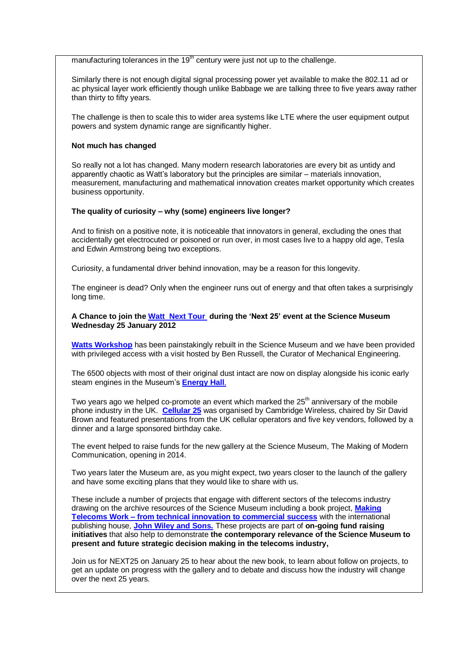manufacturing tolerances in the  $19<sup>th</sup>$  century were just not up to the challenge.

Similarly there is not enough digital signal processing power yet available to make the 802.11 ad or ac physical layer work efficiently though unlike Babbage we are talking three to five years away rather than thirty to fifty years.

The challenge is then to scale this to wider area systems like LTE where the user equipment output powers and system dynamic range are significantly higher.

#### **Not much has changed**

So really not a lot has changed. Many modern research laboratories are every bit as untidy and apparently chaotic as Watt's laboratory but the principles are similar – materials innovation, measurement, manufacturing and mathematical innovation creates market opportunity which creates business opportunity.

#### **The quality of curiosity – why (some) engineers live longer?**

And to finish on a positive note, it is noticeable that innovators in general, excluding the ones that accidentally get electrocuted or poisoned or run over, in most cases live to a happy old age, Tesla and Edwin Armstrong being two exceptions.

Curiosity, a fundamental driver behind innovation, may be a reason for this longevity.

The engineer is dead? Only when the engineer runs out of energy and that often takes a surprisingly long time.

#### **A Chance to join th[e Watt Next Tour](http://www.sciencemuseum.org.uk/visitmuseum/galleries/watts_workshop.aspx) during the 'Next 25' event at the Science Museum Wednesday 25 January 2012**

**[Watts Workshop](http://www.sciencemuseum.org.uk/visitmuseum/galleries/watts_workshop.aspx)** has been painstakingly rebuilt in the Science Museum and we have been provided with privileged access with a visit hosted by Ben Russell, the Curator of Mechanical Engineering.

The 6500 objects with most of their original dust intact are now on display alongside his iconic early steam engines in the Museum's **[Energy Hall](http://www.sciencemuseum.org.uk/visitmuseum/galleries/energy_hall.aspx)**.

Two years ago we helped co-promote an event which marked the  $25<sup>th</sup>$  anniversary of the mobile phone industry in the UK. **[Cellular 25](http://www.cambridgewireless.co.uk/cellular25/)** was organised by Cambridge Wireless, chaired by Sir David Brown and featured presentations from the UK cellular operators and five key vendors, followed by a dinner and a large sponsored birthday cake.

The event helped to raise funds for the new gallery at the Science Museum, The Making of Modern Communication, opening in 2014.

Two years later the Museum are, as you might expect, two years closer to the launch of the gallery and have some exciting plans that they would like to share with us.

These include a number of projects that engage with different sectors of the telecoms industry drawing on the archive resources of the Science Museum including a book project, **[Making](http://eu.wiley.com/WileyCDA/WileyTitle/productCd-1119976413.html)  Telecoms Work – [from technical innovation to commercial success](http://eu.wiley.com/WileyCDA/WileyTitle/productCd-1119976413.html)** with the international publishing house, **[John Wiley and Sons.](http://eu.wiley.com/WileyCDA/Section/index.html)** These projects are part of **on-going fund raising initiatives** that also help to demonstrate **the contemporary relevance of the Science Museum to present and future strategic decision making in the telecoms industry,** 

Join us for NEXT25 on January 25 to hear about the new book, to learn about follow on projects, to get an update on progress with the gallery and to debate and discuss how the industry will change over the next 25 years.